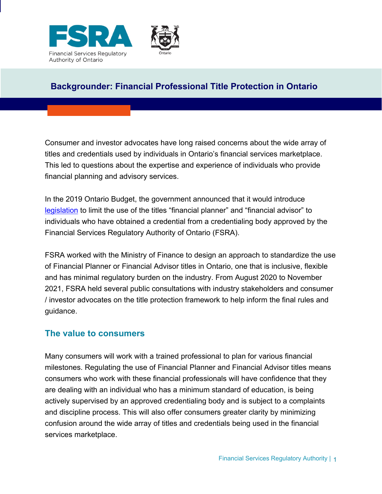

# **Backgrounder: Financial Professional Title Protection in Ontario**

Consumer and investor advocates have long raised concerns about the wide array of titles and credentials used by individuals in Ontario's financial services marketplace. This led to questions about the expertise and experience of individuals who provide financial planning and advisory services.

In the 2019 Ontario Budget, the government announced that it would introduce [legislation](https://www.ontario.ca/laws/statute/19f07b?search=Financial%20Professionals%20Title%20Protection%20Act) to limit the use of the titles "financial planner" and "financial advisor" to individuals who have obtained a credential from a credentialing body approved by the Financial Services Regulatory Authority of Ontario (FSRA).

FSRA worked with the Ministry of Finance to design an approach to standardize the use of Financial Planner or Financial Advisor titles in Ontario, one that is inclusive, flexible and has minimal regulatory burden on the industry. From August 2020 to November 2021, FSRA held several public consultations with industry stakeholders and consumer / investor advocates on the title protection framework to help inform the final rules and guidance.

## **The value to consumers**

Many consumers will work with a trained professional to plan for various financial milestones. Regulating the use of Financial Planner and Financial Advisor titles means consumers who work with these financial professionals will have confidence that they are dealing with an individual who has a minimum standard of education, is being actively supervised by an approved credentialing body and is subject to a complaints and discipline process. This will also offer consumers greater clarity by minimizing confusion around the wide array of titles and credentials being used in the financial services marketplace.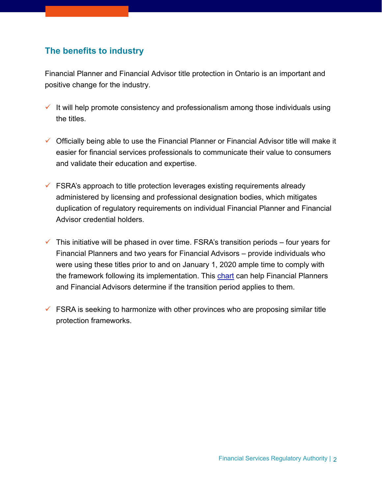# **The benefits to industry**

Financial Planner and Financial Advisor title protection in Ontario is an important and positive change for the industry.

- $\checkmark$  It will help promote consistency and professionalism among those individuals using the titles.
- Officially being able to use the Financial Planner or Financial Advisor title will make it easier for financial services professionals to communicate their value to consumers and validate their education and expertise.
- $\checkmark$  FSRA's approach to title protection leverages existing requirements already administered by licensing and professional designation bodies, which mitigates duplication of regulatory requirements on individual Financial Planner and Financial Advisor credential holders.
- $\checkmark$  This initiative will be phased in over time. FSRA's transition periods four years for Financial Planners and two years for Financial Advisors – provide individuals who were using these titles prior to and on January 1, 2020 ample time to comply with the framework following its implementation. This [chart](https://www.fsrao.ca/industry/financial-planners-and-financial-advisors/transition) can help Financial Planners and Financial Advisors determine if the transition period applies to them.
- $\checkmark$  FSRA is seeking to harmonize with other provinces who are proposing similar title protection frameworks.